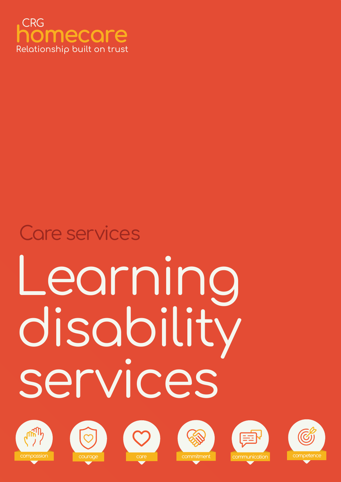

# Learning disability services Care services











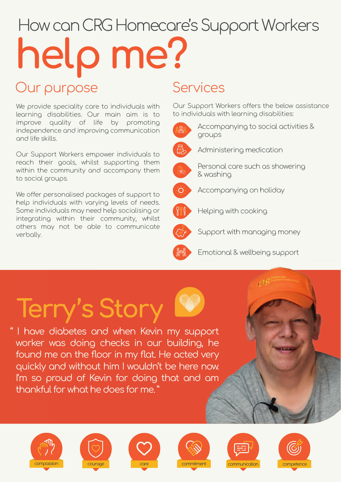## How can CRG Homecare's Support Workers help me?

### Our purpose Services

We provide speciality care to individuals with learning disabilities. Our main aim is to improve quality of life by promoting independence and improving communication and life skills.

Our Support Workers empower individuals to reach their goals, whilst supporting them within the community and accompany them to social groups.

We offer personalised packages of support to help individuals with varying levels of needs. Some individuals may need help socialising or integrating within their community, whilst others may not be able to communicate verbally.

Our Support Workers offers the below assistance to individuals with learning disabilities:



Accompanying to social activities & groups



Administering medication



Personal care such as showering & washing



Accompanying on holiday



Helping with cooking



Support with managing money



Emotional & wellbeing support

## Terry's Story

" I have diabetes and when Kevin my support worker was doing checks in our building, he found me on the floor in my flat. He acted very quickly and without him I wouldn't be here now. I'm so proud of Kevin for doing that and am thankful for what he does for me. "